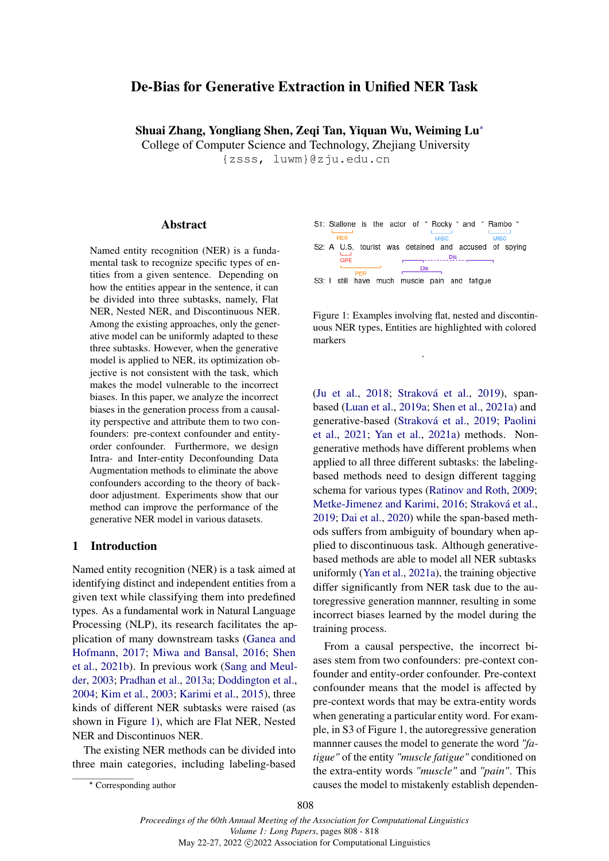# <span id="page-0-0"></span>De-Bias for Generative Extraction in Unified NER Task

Shuai Zhang, Yongliang Shen, Zeqi Tan, Yiquan Wu, Weiming L[u](#page-0-0)<sup>∗</sup>

College of Computer Science and Technology, Zhejiang University

{zsss, luwm}@zju.edu.cn

#### Abstract

Named entity recognition (NER) is a fundamental task to recognize specific types of entities from a given sentence. Depending on how the entities appear in the sentence, it can be divided into three subtasks, namely, Flat NER, Nested NER, and Discontinuous NER. Among the existing approaches, only the generative model can be uniformly adapted to these three subtasks. However, when the generative model is applied to NER, its optimization objective is not consistent with the task, which makes the model vulnerable to the incorrect biases. In this paper, we analyze the incorrect biases in the generation process from a causality perspective and attribute them to two confounders: pre-context confounder and entityorder confounder. Furthermore, we design Intra- and Inter-entity Deconfounding Data Augmentation methods to eliminate the above confounders according to the theory of backdoor adjustment. Experiments show that our method can improve the performance of the generative NER model in various datasets.

# 1 Introduction

Named entity recognition (NER) is a task aimed at identifying distinct and independent entities from a given text while classifying them into predefined types. As a fundamental work in Natural Language Processing (NLP), its research facilitates the application of many downstream tasks [\(Ganea and](#page-7-0) [Hofmann,](#page-7-0) [2017;](#page-7-0) [Miwa and Bansal,](#page-9-0) [2016;](#page-9-0) [Shen](#page-9-1) [et al.,](#page-9-1) [2021b\)](#page-9-1). In previous work [\(Sang and Meul](#page-9-2)[der,](#page-9-2) [2003;](#page-9-2) [Pradhan et al.,](#page-9-3) [2013a;](#page-9-3) [Doddington et al.,](#page-7-1) [2004;](#page-7-1) [Kim et al.,](#page-8-0) [2003;](#page-8-0) [Karimi et al.,](#page-8-1) [2015\)](#page-8-1), three kinds of different NER subtasks were raised (as shown in Figure [1\)](#page-0-1), which are Flat NER, Nested NER and Discontinuos NER.

The existing NER methods can be divided into three main categories, including labeling-based



<span id="page-0-1"></span>

Figure 1: Examples involving flat, nested and discontinuous NER types, Entities are highlighted with colored markers

.

[\(Ju et al.,](#page-8-2) [2018;](#page-8-2) [Straková et al.,](#page-9-4) [2019\)](#page-9-4), spanbased [\(Luan et al.,](#page-8-3) [2019a;](#page-8-3) [Shen et al.,](#page-9-5) [2021a\)](#page-9-5) and generative-based [\(Straková et al.,](#page-9-4) [2019;](#page-9-4) [Paolini](#page-9-6) [et al.,](#page-9-6) [2021;](#page-9-6) [Yan et al.,](#page-10-0) [2021a\)](#page-10-0) methods. Nongenerative methods have different problems when applied to all three different subtasks: the labelingbased methods need to design different tagging schema for various types [\(Ratinov and Roth,](#page-9-7) [2009;](#page-9-7) [Metke-Jimenez and Karimi,](#page-8-4) [2016;](#page-8-4) [Straková et al.,](#page-10-1) [2019;](#page-10-1) [Dai et al.,](#page-7-2) [2020\)](#page-7-2) while the span-based methods suffers from ambiguity of boundary when applied to discontinuous task. Although generativebased methods are able to model all NER subtasks uniformly [\(Yan et al.,](#page-10-0) [2021a\)](#page-10-0), the training objective differ significantly from NER task due to the autoregressive generation mannner, resulting in some incorrect biases learned by the model during the training process.

From a causal perspective, the incorrect biases stem from two confounders: pre-context confounder and entity-order confounder. Pre-context confounder means that the model is affected by pre-context words that may be extra-entity words when generating a particular entity word. For example, in S3 of Figure 1, the autoregressive generation mannner causes the model to generate the word *"fatigue"* of the entity *"muscle fatigue"* conditioned on the extra-entity words *"muscle"* and *"pain"*. This causes the model to mistakenly establish dependen-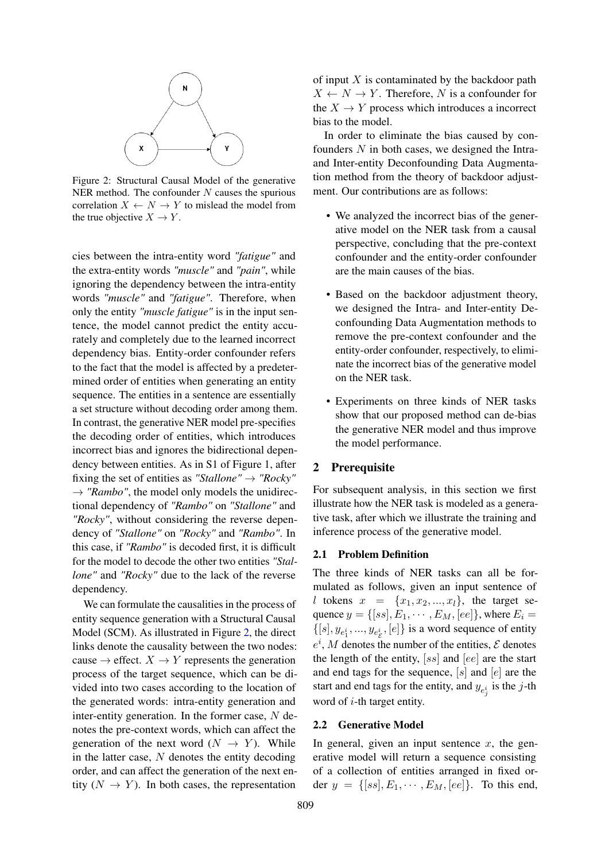<span id="page-1-0"></span>

Figure 2: Structural Causal Model of the generative NER method. The confounder  $N$  causes the spurious correlation  $X \leftarrow N \rightarrow Y$  to mislead the model from the true objective  $X \to Y$ .

cies between the intra-entity word *"fatigue"* and the extra-entity words *"muscle"* and *"pain"*, while ignoring the dependency between the intra-entity words *"muscle"* and *"fatigue"*. Therefore, when only the entity *"muscle fatigue"* is in the input sentence, the model cannot predict the entity accurately and completely due to the learned incorrect dependency bias. Entity-order confounder refers to the fact that the model is affected by a predetermined order of entities when generating an entity sequence. The entities in a sentence are essentially a set structure without decoding order among them. In contrast, the generative NER model pre-specifies the decoding order of entities, which introduces incorrect bias and ignores the bidirectional dependency between entities. As in S1 of Figure 1, after fixing the set of entities as "*Stallone*"  $\rightarrow$  "*Rocky*"  $\rightarrow$  *"Rambo"*, the model only models the unidirectional dependency of *"Rambo"* on *"Stallone"* and *"Rocky"*, without considering the reverse dependency of *"Stallone"* on *"Rocky"* and *"Rambo"*. In this case, if *"Rambo"* is decoded first, it is difficult for the model to decode the other two entities *"Stallone"* and *"Rocky"* due to the lack of the reverse dependency.

We can formulate the causalities in the process of entity sequence generation with a Structural Causal Model (SCM). As illustrated in Figure [2,](#page-1-0) the direct links denote the causality between the two nodes: cause  $\rightarrow$  effect.  $X \rightarrow Y$  represents the generation process of the target sequence, which can be divided into two cases according to the location of the generated words: intra-entity generation and inter-entity generation. In the former case,  $N$  denotes the pre-context words, which can affect the generation of the next word  $(N \rightarrow Y)$ . While in the latter case,  $N$  denotes the entity decoding order, and can affect the generation of the next entity  $(N \rightarrow Y)$ . In both cases, the representation

of input  $X$  is contaminated by the backdoor path  $X \leftarrow N \rightarrow Y$ . Therefore, N is a confounder for the  $X \to Y$  process which introduces a incorrect bias to the model.

In order to eliminate the bias caused by confounders  $N$  in both cases, we designed the Intraand Inter-entity Deconfounding Data Augmentation method from the theory of backdoor adjustment. Our contributions are as follows:

- We analyzed the incorrect bias of the generative model on the NER task from a causal perspective, concluding that the pre-context confounder and the entity-order confounder are the main causes of the bias.
- Based on the backdoor adjustment theory, we designed the Intra- and Inter-entity Deconfounding Data Augmentation methods to remove the pre-context confounder and the entity-order confounder, respectively, to eliminate the incorrect bias of the generative model on the NER task.
- Experiments on three kinds of NER tasks show that our proposed method can de-bias the generative NER model and thus improve the model performance.

## 2 Prerequisite

For subsequent analysis, in this section we first illustrate how the NER task is modeled as a generative task, after which we illustrate the training and inference process of the generative model.

## 2.1 Problem Definition

The three kinds of NER tasks can all be formulated as follows, given an input sentence of l tokens  $x = \{x_1, x_2, ..., x_l\}$ , the target sequence  $y = \{[ss], E_1, \dots, E_M, [ee]\}$ , where  $E_i =$  $\{[s], y_{e_1^i}, ..., y_{e_{\mathcal{E}}^i}, [e]\}$  is a word sequence of entity  $e^{i}$ , *M* denotes the number of the entities, *E* denotes the length of the entity,  $[ss]$  and  $[ee]$  are the start and end tags for the sequence,  $[s]$  and  $[e]$  are the start and end tags for the entity, and  $y_{e_j^i}$  is the *j*-th word of *i*-th target entity.

### 2.2 Generative Model

In general, given an input sentence  $x$ , the generative model will return a sequence consisting of a collection of entities arranged in fixed order  $y = \{ [ss], E_1, \cdots, E_M, [ee] \}.$  To this end,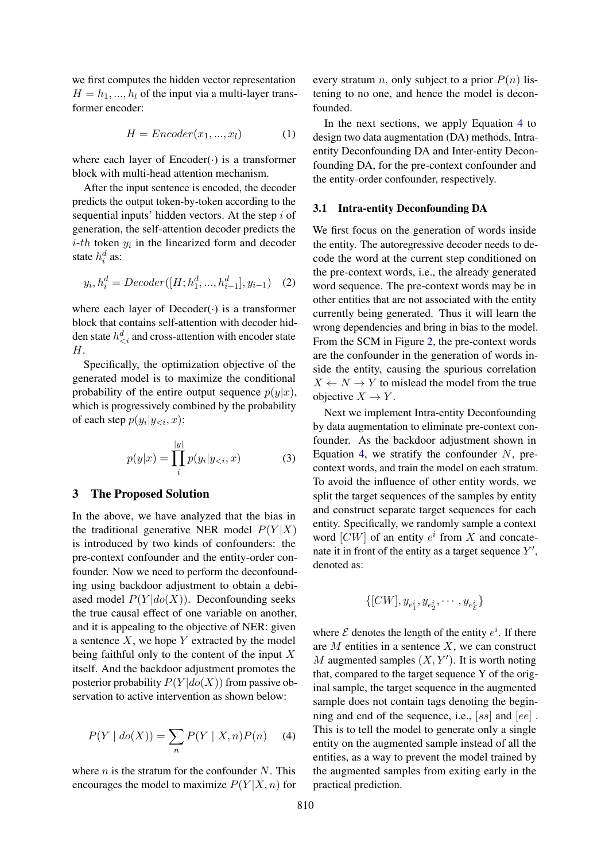we first computes the hidden vector representation  $H = h_1, ..., h_l$  of the input via a multi-layer transformer encoder:

$$
H =Encoder(x_1, ..., x_l)
$$
 (1)

where each layer of  $Encoder(\cdot)$  is a transformer block with multi-head attention mechanism.

After the input sentence is encoded, the decoder predicts the output token-by-token according to the sequential inputs' hidden vectors. At the step  $i$  of generation, the self-attention decoder predicts the  $i$ -th token  $y_i$  in the linearized form and decoder state  $h_i^d$  as:

$$
y_i, h_i^d = Decoder([H; h_1^d, ..., h_{i-1}^d], y_{i-1})
$$
 (2)

where each layer of  $Decoder(\cdot)$  is a transformer block that contains self-attention with decoder hidden state  $h_{\leq i}^d$  and cross-attention with encoder state H.

Specifically, the optimization objective of the generated model is to maximize the conditional probability of the entire output sequence  $p(y|x)$ , which is progressively combined by the probability of each step  $p(y_i|y_{\le i}, x)$ :

$$
p(y|x) = \prod_{i}^{|y|} p(y_i|y_{< i}, x) \tag{3}
$$

#### 3 The Proposed Solution

In the above, we have analyzed that the bias in the traditional generative NER model  $P(Y|X)$ is introduced by two kinds of confounders: the pre-context confounder and the entity-order confounder. Now we need to perform the deconfounding using backdoor adjustment to obtain a debiased model  $P(Y|do(X))$ . Deconfounding seeks the true causal effect of one variable on another, and it is appealing to the objective of NER: given a sentence  $X$ , we hope  $Y$  extracted by the model being faithful only to the content of the input  $X$ itself. And the backdoor adjustment promotes the posterior probability  $P(Y|do(X))$  from passive observation to active intervention as shown below:

<span id="page-2-0"></span>
$$
P(Y | do(X)) = \sum_{n} P(Y | X, n)P(n) \tag{4}
$$

where  $n$  is the stratum for the confounder N. This encourages the model to maximize  $P(Y|X, n)$  for every stratum *n*, only subject to a prior  $P(n)$  listening to no one, and hence the model is deconfounded.

In the next sections, we apply Equation [4](#page-2-0) to design two data augmentation (DA) methods, Intraentity Deconfounding DA and Inter-entity Deconfounding DA, for the pre-context confounder and the entity-order confounder, respectively.

#### <span id="page-2-1"></span>3.1 Intra-entity Deconfounding DA

We first focus on the generation of words inside the entity. The autoregressive decoder needs to decode the word at the current step conditioned on the pre-context words, i.e., the already generated word sequence. The pre-context words may be in other entities that are not associated with the entity currently being generated. Thus it will learn the wrong dependencies and bring in bias to the model. From the SCM in Figure [2,](#page-1-0) the pre-context words are the confounder in the generation of words inside the entity, causing the spurious correlation  $X \leftarrow N \rightarrow Y$  to mislead the model from the true objective  $X \to Y$ .

Next we implement Intra-entity Deconfounding by data augmentation to eliminate pre-context confounder. As the backdoor adjustment shown in Equation [4,](#page-2-0) we stratify the confounder  $N$ , precontext words, and train the model on each stratum. To avoid the influence of other entity words, we split the target sequences of the samples by entity and construct separate target sequences for each entity. Specifically, we randomly sample a context word  $[CW]$  of an entity  $e^i$  from X and concatenate it in front of the entity as a target sequence  $Y'$ , denoted as:

$$
\{[CW], y_{e_1^i}, y_{e_2^i}, \cdots, y_{e_{\mathcal{E}}^i}\}
$$

where  $\mathcal E$  denotes the length of the entity  $e^i$ . If there are  $M$  entities in a sentence  $X$ , we can construct M augmented samples  $(X, Y')$ . It is worth noting that, compared to the target sequence Y of the original sample, the target sequence in the augmented sample does not contain tags denoting the beginning and end of the sequence, i.e., [ss] and [ee] . This is to tell the model to generate only a single entity on the augmented sample instead of all the entities, as a way to prevent the model trained by the augmented samples from exiting early in the practical prediction.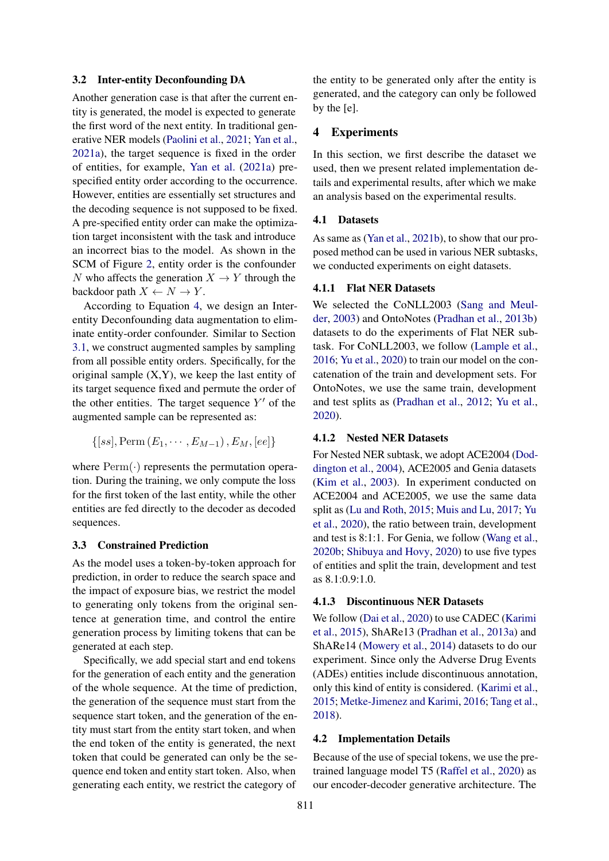#### 3.2 Inter-entity Deconfounding DA

Another generation case is that after the current entity is generated, the model is expected to generate the first word of the next entity. In traditional generative NER models [\(Paolini et al.,](#page-9-6) [2021;](#page-9-6) [Yan et al.,](#page-10-0) [2021a\)](#page-10-0), the target sequence is fixed in the order of entities, for example, [Yan et al.](#page-10-0) [\(2021a\)](#page-10-0) prespecified entity order according to the occurrence. However, entities are essentially set structures and the decoding sequence is not supposed to be fixed. A pre-specified entity order can make the optimization target inconsistent with the task and introduce an incorrect bias to the model. As shown in the SCM of Figure [2,](#page-1-0) entity order is the confounder N who affects the generation  $X \to Y$  through the backdoor path  $X \leftarrow N \rightarrow Y$ .

According to Equation [4,](#page-2-0) we design an Interentity Deconfounding data augmentation to eliminate entity-order confounder. Similar to Section [3.1,](#page-2-1) we construct augmented samples by sampling from all possible entity orders. Specifically, for the original sample  $(X, Y)$ , we keep the last entity of its target sequence fixed and permute the order of the other entities. The target sequence  $Y'$  of the augmented sample can be represented as:

$$
\{[ss], \text{Perm}(E_1, \cdots, E_{M-1}), E_M, [ee]\}
$$

where  $\text{Perm}(\cdot)$  represents the permutation operation. During the training, we only compute the loss for the first token of the last entity, while the other entities are fed directly to the decoder as decoded sequences.

### 3.3 Constrained Prediction

As the model uses a token-by-token approach for prediction, in order to reduce the search space and the impact of exposure bias, we restrict the model to generating only tokens from the original sentence at generation time, and control the entire generation process by limiting tokens that can be generated at each step.

Specifically, we add special start and end tokens for the generation of each entity and the generation of the whole sequence. At the time of prediction, the generation of the sequence must start from the sequence start token, and the generation of the entity must start from the entity start token, and when the end token of the entity is generated, the next token that could be generated can only be the sequence end token and entity start token. Also, when generating each entity, we restrict the category of

the entity to be generated only after the entity is generated, and the category can only be followed by the [e].

## 4 Experiments

In this section, we first describe the dataset we used, then we present related implementation details and experimental results, after which we make an analysis based on the experimental results.

#### 4.1 Datasets

As same as [\(Yan et al.,](#page-10-2) [2021b\)](#page-10-2), to show that our proposed method can be used in various NER subtasks, we conducted experiments on eight datasets.

# 4.1.1 Flat NER Datasets

We selected the CoNLL2003 [\(Sang and Meul](#page-9-2)[der,](#page-9-2) [2003\)](#page-9-2) and OntoNotes [\(Pradhan et al.,](#page-9-8) [2013b\)](#page-9-8) datasets to do the experiments of Flat NER subtask. For CoNLL2003, we follow [\(Lample et al.,](#page-8-5) [2016;](#page-8-5) [Yu et al.,](#page-10-3) [2020\)](#page-10-3) to train our model on the concatenation of the train and development sets. For OntoNotes, we use the same train, development and test splits as [\(Pradhan et al.,](#page-9-9) [2012;](#page-9-9) [Yu et al.,](#page-10-3) [2020\)](#page-10-3).

#### 4.1.2 Nested NER Datasets

For Nested NER subtask, we adopt ACE2004 [\(Dod](#page-7-1)[dington et al.,](#page-7-1) [2004\)](#page-7-1), ACE2005 and Genia datasets [\(Kim et al.,](#page-8-0) [2003\)](#page-8-0). In experiment conducted on ACE2004 and ACE2005, we use the same data split as [\(Lu and Roth,](#page-8-6) [2015;](#page-8-6) [Muis and Lu,](#page-9-10) [2017;](#page-9-10) [Yu](#page-10-3) [et al.,](#page-10-3) [2020\)](#page-10-3), the ratio between train, development and test is 8:1:1. For Genia, we follow [\(Wang et al.,](#page-10-4) [2020b;](#page-10-4) [Shibuya and Hovy,](#page-9-11) [2020\)](#page-9-11) to use five types of entities and split the train, development and test as 8.1:0.9:1.0.

### 4.1.3 Discontinuous NER Datasets

We follow [\(Dai et al.,](#page-7-2) [2020\)](#page-7-2) to use CADEC [\(Karimi](#page-8-1) [et al.,](#page-8-1) [2015\)](#page-8-1), ShARe13 [\(Pradhan et al.,](#page-9-3) [2013a\)](#page-9-3) and ShARe14 [\(Mowery et al.,](#page-9-12) [2014\)](#page-9-12) datasets to do our experiment. Since only the Adverse Drug Events (ADEs) entities include discontinuous annotation, only this kind of entity is considered. [\(Karimi et al.,](#page-8-1) [2015;](#page-8-1) [Metke-Jimenez and Karimi,](#page-8-4) [2016;](#page-8-4) [Tang et al.,](#page-10-5) [2018\)](#page-10-5).

#### 4.2 Implementation Details

Because of the use of special tokens, we use the pretrained language model T5 [\(Raffel et al.,](#page-9-13) [2020\)](#page-9-13) as our encoder-decoder generative architecture. The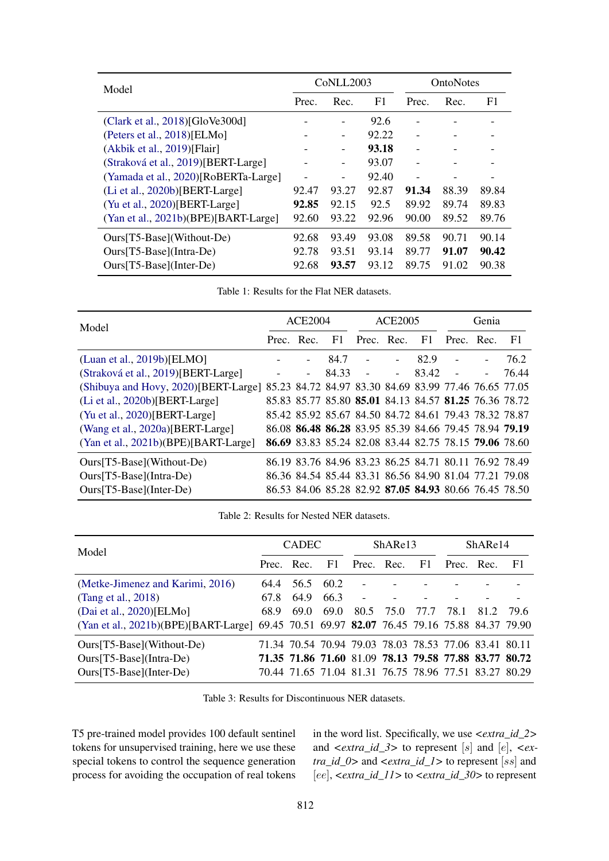<span id="page-4-0"></span>

| Model                                |       | CoNLL2003                |       | <b>OntoNotes</b> |       |       |
|--------------------------------------|-------|--------------------------|-------|------------------|-------|-------|
|                                      | Prec. | Rec.                     | F1    | Prec.            | Rec.  | F1    |
| (Clark et al., $2018$ )[GloVe300d]   |       |                          | 92.6  |                  |       |       |
| (Peters et al., 2018)[ELMo]          |       | $\overline{\phantom{a}}$ | 92.22 |                  |       |       |
| $(Akbik et al., 2019)$ [Flair]       |       | $\overline{\phantom{a}}$ | 93.18 |                  |       |       |
| (Straková et al., 2019)[BERT-Large]  |       | $\overline{\phantom{a}}$ | 93.07 |                  |       |       |
| (Yamada et al., 2020)[RoBERTa-Large] |       | -                        | 92.40 |                  |       |       |
| (Li et al., 2020b)[BERT-Large]       | 92.47 | 93.27                    | 92.87 | 91.34            | 88.39 | 89.84 |
| (Yu et al., 2020)[BERT-Large]        | 92.85 | 92.15                    | 92.5  | 89.92            | 89.74 | 89.83 |
| (Yan et al., 2021b)(BPE)[BART-Large] | 92.60 | 93.22                    | 92.96 | 90.00            | 89.52 | 89.76 |
| Ours[T5-Base](Without-De)            | 92.68 | 93.49                    | 93.08 | 89.58            | 90.71 | 90.14 |
| $Ours[T5-Base](Intra-De)$            | 92.78 | 93.51                    | 93.14 | 89.77            | 91.07 | 90.42 |
| Ours[T5-Base](Inter-De)              | 92.68 | 93.57                    | 93.12 | 89.75            | 91.02 | 90.38 |

Table 1: Results for the Flat NER datasets.

<span id="page-4-2"></span>

| Model                                                                                       |  | ACE2004                  |       |               | ACE2005 |       |                                                                     | Genia                    |       |  |
|---------------------------------------------------------------------------------------------|--|--------------------------|-------|---------------|---------|-------|---------------------------------------------------------------------|--------------------------|-------|--|
|                                                                                             |  | Prec. Rec.               |       | F1 Prec. Rec. |         | - F1  | Prec. Rec.                                                          |                          | - F1  |  |
| (Luan et al., 2019b)[ELMO]                                                                  |  |                          | 84.7  |               |         | 82.9  |                                                                     | $\overline{\phantom{a}}$ | 76.2  |  |
| (Straková et al., 2019)[BERT-Large]                                                         |  | $\overline{\phantom{a}}$ | 84.33 |               | $\sim$  | 83.42 | $\overline{a}$                                                      | $\overline{\phantom{0}}$ | 76.44 |  |
| (Shibuya and Hovy, 2020) [BERT-Large] 85.23 84.72 84.97 83.30 84.69 83.99 77.46 76.65 77.05 |  |                          |       |               |         |       |                                                                     |                          |       |  |
| (Li et al., 2020b)[BERT-Large]                                                              |  |                          |       |               |         |       | 85.83 85.77 85.80 <b>85.01</b> 84.13 84.57 <b>81.25</b> 76.36 78.72 |                          |       |  |
| (Yu et al., 2020)[BERT-Large]                                                               |  |                          |       |               |         |       | 85.42 85.92 85.67 84.50 84.72 84.61 79.43 78.32 78.87               |                          |       |  |
| (Wang et al., 2020a)[BERT-Large]                                                            |  |                          |       |               |         |       | 86.08 86.48 86.28 83.95 85.39 84.66 79.45 78.94 79.19               |                          |       |  |
| (Yan et al., 2021b)(BPE)[BART-Large]                                                        |  |                          |       |               |         |       | 86.69 83.83 85.24 82.08 83.44 82.75 78.15 79.06 78.60               |                          |       |  |
| Ours[T5-Base](Without-De)                                                                   |  |                          |       |               |         |       | 86.19 83.76 84.96 83.23 86.25 84.71 80.11 76.92 78.49               |                          |       |  |
| $Ours[T5-Base](Intra-De)$                                                                   |  |                          |       |               |         |       | 86.36 84.54 85.44 83.31 86.56 84.90 81.04 77.21 79.08               |                          |       |  |
| $Ours[T5-Based(Inter-De)$                                                                   |  |                          |       |               |         |       | 86.53 84.06 85.28 82.92 87.05 84.93 80.66 76.45 78.50               |                          |       |  |

Table 2: Results for Nested NER datasets.

<span id="page-4-1"></span>

| Model                                                                                      |            | <b>CADEC</b> |      |                                                       | ShARe13 |      |            | ShARe14 |       |  |
|--------------------------------------------------------------------------------------------|------------|--------------|------|-------------------------------------------------------|---------|------|------------|---------|-------|--|
|                                                                                            | Prec. Rec. |              | - F1 | Prec. Rec.                                            |         | - F1 | Prec. Rec. |         | - F1  |  |
| (Metke-Jimenez and Karimi, 2016)                                                           | 64.4       | 56.5         | 60.2 | $\blacksquare$                                        |         |      |            |         |       |  |
| (Tang et al., 2018)                                                                        | 67.8       | 64.9         | 66.3 |                                                       |         |      |            |         |       |  |
| (Dai et al., 2020)[ELMo]                                                                   | 68.9       | 69.0         | 69.0 | 80.5                                                  | 75.0    | 77.7 | 78.1       | 81.2    | -79.6 |  |
| (Yan et al., 2021b)(BPE)[BART-Large] 69.45 70.51 69.97 82.07 76.45 79.16 75.88 84.37 79.90 |            |              |      |                                                       |         |      |            |         |       |  |
| $Ours[T5-Base]$ (Without-De)                                                               |            |              |      | 71.34 70.54 70.94 79.03 78.03 78.53 77.06 83.41 80.11 |         |      |            |         |       |  |
| $Ours[T5-Base](Intra-De)$                                                                  |            |              |      | 71.35 71.86 71.60 81.09 78.13 79.58 77.88 83.77 80.72 |         |      |            |         |       |  |
| $Ours[T5-Based(Inter-De)$                                                                  |            |              |      | 70.44 71.65 71.04 81.31 76.75 78.96 77.51 83.27 80.29 |         |      |            |         |       |  |

Table 3: Results for Discontinuous NER datasets.

T5 pre-trained model provides 100 default sentinel tokens for unsupervised training, here we use these special tokens to control the sequence generation process for avoiding the occupation of real tokens

in the word list. Specifically, we use *<extra\_id\_2>* and *<extra\_id\_3>* to represent [s] and [e], *<extra\_id\_0>* and *<extra\_id\_1>* to represent [ss] and [ee], *<extra\_id\_11>* to *<extra\_id\_30>* to represent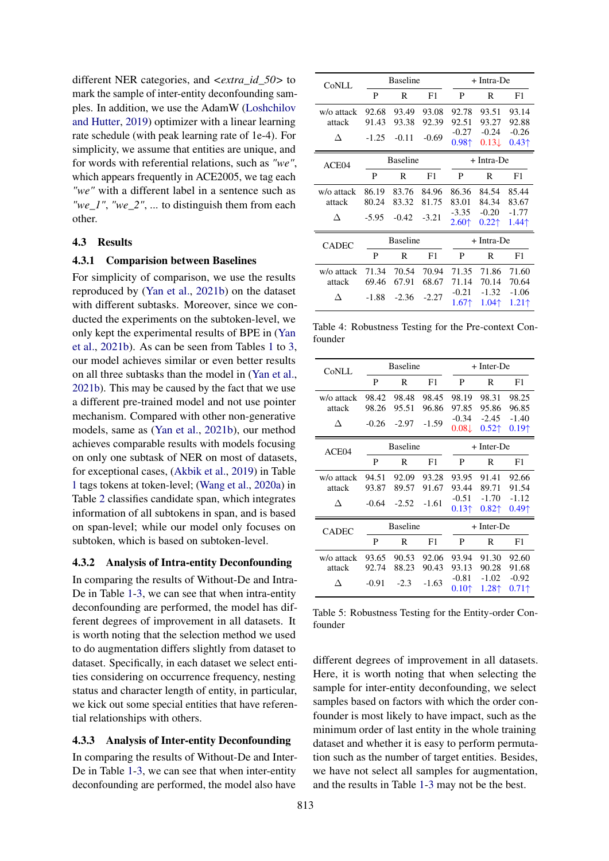different NER categories, and *<extra\_id\_50>* to mark the sample of inter-entity deconfounding samples. In addition, we use the AdamW [\(Loshchilov](#page-8-9) [and Hutter,](#page-8-9) [2019\)](#page-8-9) optimizer with a linear learning rate schedule (with peak learning rate of 1e-4). For simplicity, we assume that entities are unique, and for words with referential relations, such as *"we"*, which appears frequently in ACE2005, we tag each *"we"* with a different label in a sentence such as *"we\_1"*, *"we\_2"*, ... to distinguish them from each other.

### 4.3 Results

#### 4.3.1 Comparision between Baselines

For simplicity of comparison, we use the results reproduced by [\(Yan et al.,](#page-10-2) [2021b\)](#page-10-2) on the dataset with different subtasks. Moreover, since we conducted the experiments on the subtoken-level, we only kept the experimental results of BPE in [\(Yan](#page-10-2) [et al.,](#page-10-2) [2021b\)](#page-10-2). As can be seen from Tables [1](#page-4-0) to [3,](#page-4-1) our model achieves similar or even better results on all three subtasks than the model in [\(Yan et al.,](#page-10-2) [2021b\)](#page-10-2). This may be caused by the fact that we use a different pre-trained model and not use pointer mechanism. Compared with other non-generative models, same as [\(Yan et al.,](#page-10-2) [2021b\)](#page-10-2), our method achieves comparable results with models focusing on only one subtask of NER on most of datasets, for exceptional cases, [\(Akbik et al.,](#page-7-4) [2019\)](#page-7-4) in Table [1](#page-4-0) tags tokens at token-level; [\(Wang et al.,](#page-10-7) [2020a\)](#page-10-7) in Table [2](#page-4-2) classifies candidate span, which integrates information of all subtokens in span, and is based on span-level; while our model only focuses on subtoken, which is based on subtoken-level.

#### 4.3.2 Analysis of Intra-entity Deconfounding

In comparing the results of Without-De and Intra-De in Table [1-](#page-4-0)[3,](#page-4-1) we can see that when intra-entity deconfounding are performed, the model has different degrees of improvement in all datasets. It is worth noting that the selection method we used to do augmentation differs slightly from dataset to dataset. Specifically, in each dataset we select entities considering on occurrence frequency, nesting status and character length of entity, in particular, we kick out some special entities that have referential relationships with others.

### 4.3.3 Analysis of Inter-entity Deconfounding

In comparing the results of Without-De and Inter-De in Table [1-](#page-4-0)[3,](#page-4-1) we can see that when inter-entity deconfounding are performed, the model also have

<span id="page-5-0"></span>

| CoNLL                     |                           | <b>Baseline</b>           |                           |                                                                     | + Intra-De                                                          |                                                                     |  |  |
|---------------------------|---------------------------|---------------------------|---------------------------|---------------------------------------------------------------------|---------------------------------------------------------------------|---------------------------------------------------------------------|--|--|
|                           | P                         | R                         | F1                        | P                                                                   | R                                                                   | F1                                                                  |  |  |
| w/o attack<br>attack<br>Л | 92.68<br>91.43<br>$-1.25$ | 93.49<br>93.38<br>$-0.11$ | 93.08<br>92.39<br>$-0.69$ | 92.78<br>92.51<br>$-0.27$<br>0.98 <sup>†</sup>                      | 93.51<br>93.27<br>$-0.24$<br>$0.13\downarrow$                       | 93.14<br>92.88<br>$-0.26$<br>$0.43 \uparrow$                        |  |  |
| ACE04                     | <b>Baseline</b>           |                           |                           |                                                                     | + Intra-De                                                          |                                                                     |  |  |
|                           | P                         | R                         | F1                        | P                                                                   | R                                                                   | F1                                                                  |  |  |
| w/o attack<br>attack<br>Л | 86.19<br>80.24<br>$-5.95$ | 83.76<br>83.32<br>$-0.42$ | 84.96<br>81.75<br>$-3.21$ | 86.36<br>83.01<br>$-3.35$<br>$2.60$ <sup><math>\dagger</math></sup> | 84.54<br>84.34<br>$-0.20$<br>$0.22$ ↑                               | 85.44<br>83.67<br>$-1.77$<br>$1.44$ <sup><math>\dagger</math></sup> |  |  |
| <b>CADEC</b>              | <b>Baseline</b>           |                           |                           |                                                                     | + Intra-De                                                          |                                                                     |  |  |
|                           | P                         | R                         | F1                        | P                                                                   | R                                                                   | F1                                                                  |  |  |
| w/o attack<br>attack<br>Л | 71.34<br>69.46<br>$-1.88$ | 70.54<br>67.91<br>$-2.36$ | 70.94<br>68.67<br>$-2.27$ | 71.35<br>71.14<br>$-0.21$<br>$1.67$ <sup><math>\dagger</math></sup> | 71.86<br>70.14<br>$-1.32$<br>$1.04$ <sup><math>\dagger</math></sup> | 71.60<br>70.64<br>$-1.06$<br>$1.21$ <sup><math>\dagger</math></sup> |  |  |

Table 4: Robustness Testing for the Pre-context Confounder

<span id="page-5-1"></span>

| CoNLL      |                 | <b>Baseline</b> |         | + Inter-De        |                                        |                   |  |  |
|------------|-----------------|-----------------|---------|-------------------|----------------------------------------|-------------------|--|--|
|            | P               | R               | F1      | P                 | R                                      | F1                |  |  |
| w/o attack | 98.42           | 98.48           | 98.45   | 98.19             | 98.31                                  | 98.25             |  |  |
| attack     | 98.26           | 95.51           | 96.86   | 97.85             | 95.86                                  | 96.85             |  |  |
| Л          | $-0.26$         | $-2.97$         | $-1.59$ | $-0.34$           | $-2.45$                                | $-1.40$           |  |  |
|            |                 |                 |         | $0.08\downarrow$  | $0.52$ <sup><math>\dagger</math></sup> | 0.19 <sup>†</sup> |  |  |
| ACE04      |                 | <b>Baseline</b> |         |                   | + Inter-De                             |                   |  |  |
|            | P               | R               | F1      | P                 | R                                      | F1                |  |  |
| w/o attack | 94.51           | 92.09           | 93.28   | 93.95             | 91.41                                  | 92.66             |  |  |
| attack     | 93.87           | 89.57           | 91.67   | 93.44             | 89.71                                  | 91.54             |  |  |
| Л          | $-0.64$         | $-2.52$         | $-1.61$ | $-0.51$           | $-1.70$                                | $-1.12$           |  |  |
|            |                 |                 |         | 0.13 <sup>†</sup> | $0.82$ ↑                               | $0.49+$           |  |  |
| CADEC      | <b>Baseline</b> |                 |         |                   | $+$ Inter-De                           |                   |  |  |
|            | P               | R               | F1      | P                 | R                                      | F1                |  |  |
|            |                 |                 |         |                   |                                        |                   |  |  |
| w/o attack | 93.65           | 90.53           | 92.06   | 93.94             | 91.30                                  | 92.60             |  |  |
| attack     | 92.74           | 88.23           | 90.43   | 93.13             | 90.28                                  | 91.68             |  |  |
| Л          | $-0.91$         | $-2.3$          | $-1.63$ | $-0.81$           | $-1.02$                                | $-0.92$           |  |  |

Table 5: Robustness Testing for the Entity-order Confounder

different degrees of improvement in all datasets. Here, it is worth noting that when selecting the sample for inter-entity deconfounding, we select samples based on factors with which the order confounder is most likely to have impact, such as the minimum order of last entity in the whole training dataset and whether it is easy to perform permutation such as the number of target entities. Besides, we have not select all samples for augmentation, and the results in Table [1](#page-4-0)[-3](#page-4-1) may not be the best.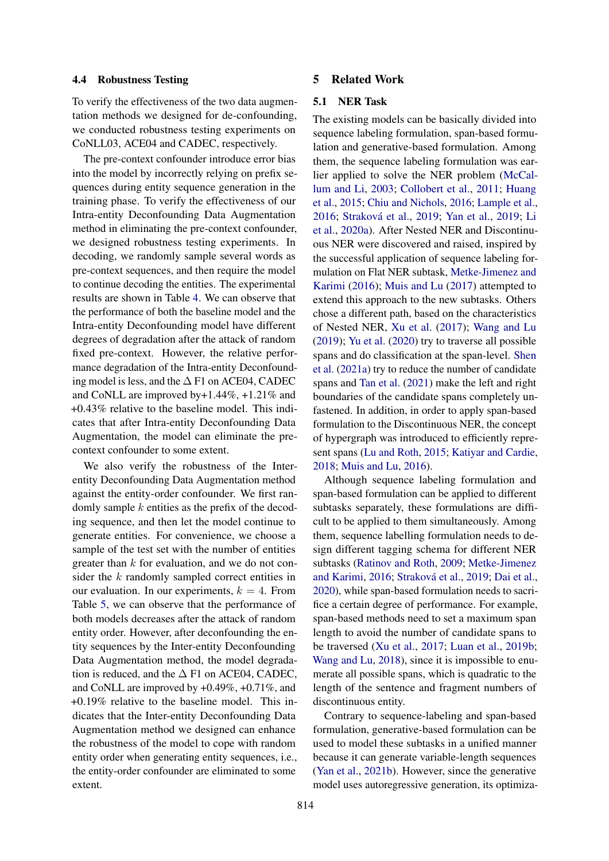#### 4.4 Robustness Testing

To verify the effectiveness of the two data augmentation methods we designed for de-confounding, we conducted robustness testing experiments on CoNLL03, ACE04 and CADEC, respectively.

The pre-context confounder introduce error bias into the model by incorrectly relying on prefix sequences during entity sequence generation in the training phase. To verify the effectiveness of our Intra-entity Deconfounding Data Augmentation method in eliminating the pre-context confounder, we designed robustness testing experiments. In decoding, we randomly sample several words as pre-context sequences, and then require the model to continue decoding the entities. The experimental results are shown in Table [4.](#page-5-0) We can observe that the performance of both the baseline model and the Intra-entity Deconfounding model have different degrees of degradation after the attack of random fixed pre-context. However, the relative performance degradation of the Intra-entity Deconfounding model is less, and the  $\Delta$  F1 on ACE04, CADEC and CoNLL are improved by+1.44%, +1.21% and +0.43% relative to the baseline model. This indicates that after Intra-entity Deconfounding Data Augmentation, the model can eliminate the precontext confounder to some extent.

We also verify the robustness of the Interentity Deconfounding Data Augmentation method against the entity-order confounder. We first randomly sample  $k$  entities as the prefix of the decoding sequence, and then let the model continue to generate entities. For convenience, we choose a sample of the test set with the number of entities greater than  $k$  for evaluation, and we do not consider the k randomly sampled correct entities in our evaluation. In our experiments,  $k = 4$ . From Table [5,](#page-5-1) we can observe that the performance of both models decreases after the attack of random entity order. However, after deconfounding the entity sequences by the Inter-entity Deconfounding Data Augmentation method, the model degradation is reduced, and the  $\Delta$  F1 on ACE04, CADEC, and CoNLL are improved by +0.49%, +0.71%, and +0.19% relative to the baseline model. This indicates that the Inter-entity Deconfounding Data Augmentation method we designed can enhance the robustness of the model to cope with random entity order when generating entity sequences, i.e., the entity-order confounder are eliminated to some extent.

## 5 Related Work

### 5.1 NER Task

The existing models can be basically divided into sequence labeling formulation, span-based formulation and generative-based formulation. Among them, the sequence labeling formulation was earlier applied to solve the NER problem [\(McCal](#page-8-10)[lum and Li,](#page-8-10) [2003;](#page-8-10) [Collobert et al.,](#page-7-5) [2011;](#page-7-5) [Huang](#page-8-11) [et al.,](#page-8-11) [2015;](#page-8-11) [Chiu and Nichols,](#page-7-6) [2016;](#page-7-6) [Lample et al.,](#page-8-5) [2016;](#page-8-5) [Straková et al.,](#page-10-1) [2019;](#page-10-1) [Yan et al.,](#page-10-8) [2019;](#page-10-8) [Li](#page-8-12) [et al.,](#page-8-12) [2020a\)](#page-8-12). After Nested NER and Discontinuous NER were discovered and raised, inspired by the successful application of sequence labeling formulation on Flat NER subtask, [Metke-Jimenez and](#page-8-4) [Karimi](#page-8-4) [\(2016\)](#page-8-4); [Muis and Lu](#page-9-10) [\(2017\)](#page-9-10) attempted to extend this approach to the new subtasks. Others chose a different path, based on the characteristics of Nested NER, [Xu et al.](#page-10-9) [\(2017\)](#page-10-9); [Wang and Lu](#page-10-10) [\(2019\)](#page-10-10); [Yu et al.](#page-10-3) [\(2020\)](#page-10-3) try to traverse all possible spans and do classification at the span-level. [Shen](#page-9-5) [et al.](#page-9-5) [\(2021a\)](#page-9-5) try to reduce the number of candidate spans and [Tan et al.](#page-10-11) [\(2021\)](#page-10-11) make the left and right boundaries of the candidate spans completely unfastened. In addition, in order to apply span-based formulation to the Discontinuous NER, the concept of hypergraph was introduced to efficiently represent spans [\(Lu and Roth,](#page-8-6) [2015;](#page-8-6) [Katiyar and Cardie,](#page-8-13) [2018;](#page-8-13) [Muis and Lu,](#page-9-15) [2016\)](#page-9-15).

Although sequence labeling formulation and span-based formulation can be applied to different subtasks separately, these formulations are difficult to be applied to them simultaneously. Among them, sequence labelling formulation needs to design different tagging schema for different NER subtasks [\(Ratinov and Roth,](#page-9-7) [2009;](#page-9-7) [Metke-Jimenez](#page-8-4) [and Karimi,](#page-8-4) [2016;](#page-8-4) [Straková et al.,](#page-10-1) [2019;](#page-10-1) [Dai et al.,](#page-7-2) [2020\)](#page-7-2), while span-based formulation needs to sacrifice a certain degree of performance. For example, span-based methods need to set a maximum span length to avoid the number of candidate spans to be traversed [\(Xu et al.,](#page-10-9) [2017;](#page-10-9) [Luan et al.,](#page-8-8) [2019b;](#page-8-8) [Wang and Lu,](#page-10-12) [2018\)](#page-10-12), since it is impossible to enumerate all possible spans, which is quadratic to the length of the sentence and fragment numbers of discontinuous entity.

Contrary to sequence-labeling and span-based formulation, generative-based formulation can be used to model these subtasks in a unified manner because it can generate variable-length sequences [\(Yan et al.,](#page-10-2) [2021b\)](#page-10-2). However, since the generative model uses autoregressive generation, its optimiza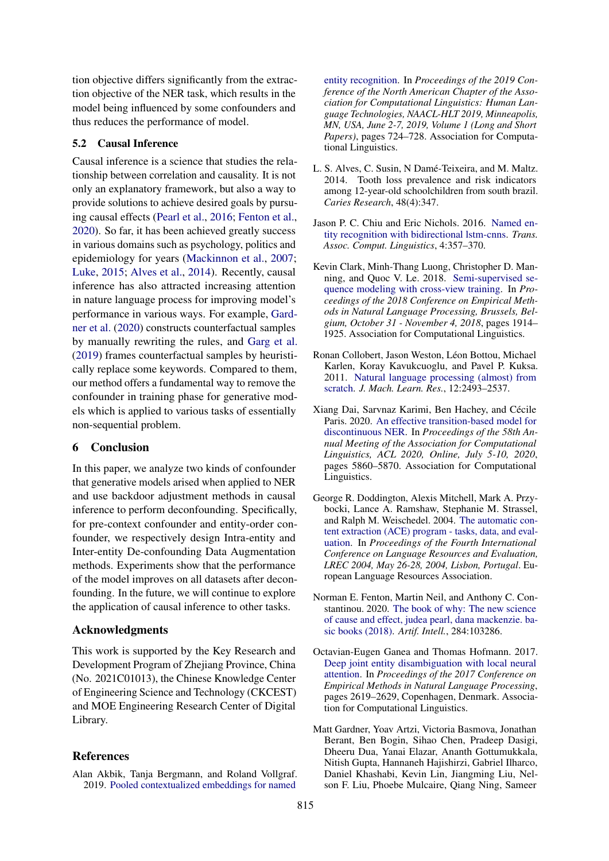tion objective differs significantly from the extraction objective of the NER task, which results in the model being influenced by some confounders and thus reduces the performance of model.

# 5.2 Causal Inference

Causal inference is a science that studies the relationship between correlation and causality. It is not only an explanatory framework, but also a way to provide solutions to achieve desired goals by pursuing causal effects [\(Pearl et al.,](#page-9-16) [2016;](#page-9-16) [Fenton et al.,](#page-7-7) [2020\)](#page-7-7). So far, it has been achieved greatly success in various domains such as psychology, politics and epidemiology for years [\(Mackinnon et al.,](#page-8-14) [2007;](#page-8-14) [Luke,](#page-8-15) [2015;](#page-8-15) [Alves et al.,](#page-7-8) [2014\)](#page-7-8). Recently, causal inference has also attracted increasing attention in nature language process for improving model's performance in various ways. For example, [Gard](#page-7-9)[ner et al.](#page-7-9) [\(2020\)](#page-7-9) constructs counterfactual samples by manually rewriting the rules, and [Garg et al.](#page-8-16) [\(2019\)](#page-8-16) frames counterfactual samples by heuristically replace some keywords. Compared to them, our method offers a fundamental way to remove the confounder in training phase for generative models which is applied to various tasks of essentially non-sequential problem.

# 6 Conclusion

In this paper, we analyze two kinds of confounder that generative models arised when applied to NER and use backdoor adjustment methods in causal inference to perform deconfounding. Specifically, for pre-context confounder and entity-order confounder, we respectively design Intra-entity and Inter-entity De-confounding Data Augmentation methods. Experiments show that the performance of the model improves on all datasets after deconfounding. In the future, we will continue to explore the application of causal inference to other tasks.

# Acknowledgments

This work is supported by the Key Research and Development Program of Zhejiang Province, China (No. 2021C01013), the Chinese Knowledge Center of Engineering Science and Technology (CKCEST) and MOE Engineering Research Center of Digital Library.

### **References**

<span id="page-7-4"></span>Alan Akbik, Tanja Bergmann, and Roland Vollgraf. 2019. [Pooled contextualized embeddings for named](https://doi.org/10.18653/v1/n19-1078)

[entity recognition.](https://doi.org/10.18653/v1/n19-1078) In *Proceedings of the 2019 Conference of the North American Chapter of the Association for Computational Linguistics: Human Language Technologies, NAACL-HLT 2019, Minneapolis, MN, USA, June 2-7, 2019, Volume 1 (Long and Short Papers)*, pages 724–728. Association for Computational Linguistics.

- <span id="page-7-8"></span>L. S. Alves, C. Susin, N Damé-Teixeira, and M. Maltz. 2014. Tooth loss prevalence and risk indicators among 12-year-old schoolchildren from south brazil. *Caries Research*, 48(4):347.
- <span id="page-7-6"></span>Jason P. C. Chiu and Eric Nichols. 2016. [Named en](https://transacl.org/ojs/index.php/tacl/article/view/792)[tity recognition with bidirectional lstm-cnns.](https://transacl.org/ojs/index.php/tacl/article/view/792) *Trans. Assoc. Comput. Linguistics*, 4:357–370.
- <span id="page-7-3"></span>Kevin Clark, Minh-Thang Luong, Christopher D. Manning, and Quoc V. Le. 2018. [Semi-supervised se](https://doi.org/10.18653/v1/d18-1217)[quence modeling with cross-view training.](https://doi.org/10.18653/v1/d18-1217) In *Proceedings of the 2018 Conference on Empirical Methods in Natural Language Processing, Brussels, Belgium, October 31 - November 4, 2018*, pages 1914– 1925. Association for Computational Linguistics.
- <span id="page-7-5"></span>Ronan Collobert, Jason Weston, Léon Bottou, Michael Karlen, Koray Kavukcuoglu, and Pavel P. Kuksa. 2011. [Natural language processing \(almost\) from](http://dl.acm.org/citation.cfm?id=2078186) [scratch.](http://dl.acm.org/citation.cfm?id=2078186) *J. Mach. Learn. Res.*, 12:2493–2537.
- <span id="page-7-2"></span>Xiang Dai, Sarvnaz Karimi, Ben Hachey, and Cécile Paris. 2020. [An effective transition-based model for](https://doi.org/10.18653/v1/2020.acl-main.520) [discontinuous NER.](https://doi.org/10.18653/v1/2020.acl-main.520) In *Proceedings of the 58th Annual Meeting of the Association for Computational Linguistics, ACL 2020, Online, July 5-10, 2020*, pages 5860–5870. Association for Computational Linguistics.
- <span id="page-7-1"></span>George R. Doddington, Alexis Mitchell, Mark A. Przybocki, Lance A. Ramshaw, Stephanie M. Strassel, and Ralph M. Weischedel. 2004. [The automatic con](http://www.lrec-conf.org/proceedings/lrec2004/summaries/5.htm)[tent extraction \(ACE\) program - tasks, data, and eval](http://www.lrec-conf.org/proceedings/lrec2004/summaries/5.htm)[uation.](http://www.lrec-conf.org/proceedings/lrec2004/summaries/5.htm) In *Proceedings of the Fourth International Conference on Language Resources and Evaluation, LREC 2004, May 26-28, 2004, Lisbon, Portugal*. European Language Resources Association.
- <span id="page-7-7"></span>Norman E. Fenton, Martin Neil, and Anthony C. Constantinou. 2020. [The book of why: The new science](https://doi.org/10.1016/j.artint.2020.103286) [of cause and effect, judea pearl, dana mackenzie. ba](https://doi.org/10.1016/j.artint.2020.103286)[sic books \(2018\).](https://doi.org/10.1016/j.artint.2020.103286) *Artif. Intell.*, 284:103286.
- <span id="page-7-0"></span>Octavian-Eugen Ganea and Thomas Hofmann. 2017. [Deep joint entity disambiguation with local neural](https://doi.org/10.18653/v1/D17-1277) [attention.](https://doi.org/10.18653/v1/D17-1277) In *Proceedings of the 2017 Conference on Empirical Methods in Natural Language Processing*, pages 2619–2629, Copenhagen, Denmark. Association for Computational Linguistics.
- <span id="page-7-9"></span>Matt Gardner, Yoav Artzi, Victoria Basmova, Jonathan Berant, Ben Bogin, Sihao Chen, Pradeep Dasigi, Dheeru Dua, Yanai Elazar, Ananth Gottumukkala, Nitish Gupta, Hannaneh Hajishirzi, Gabriel Ilharco, Daniel Khashabi, Kevin Lin, Jiangming Liu, Nelson F. Liu, Phoebe Mulcaire, Qiang Ning, Sameer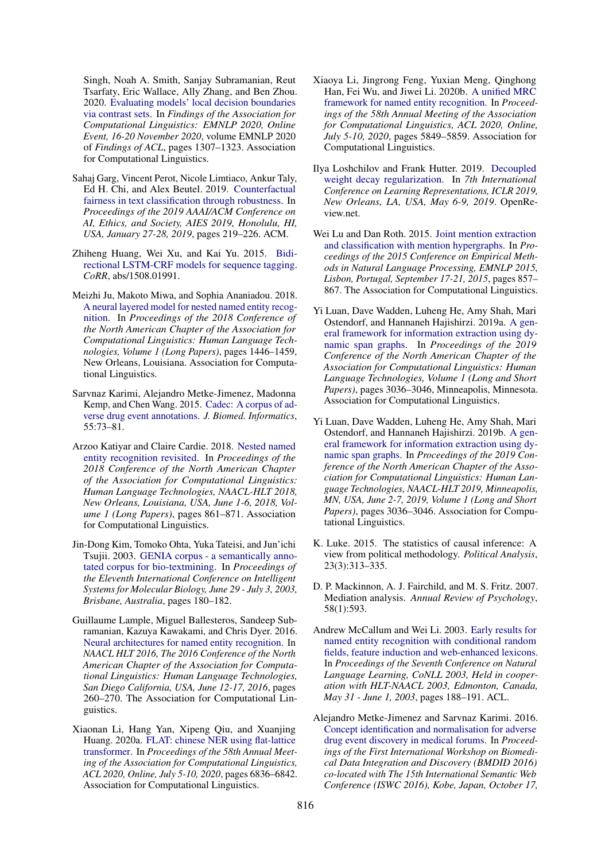Singh, Noah A. Smith, Sanjay Subramanian, Reut Tsarfaty, Eric Wallace, Ally Zhang, and Ben Zhou. 2020. [Evaluating models' local decision boundaries](https://doi.org/10.18653/v1/2020.findings-emnlp.117) [via contrast sets.](https://doi.org/10.18653/v1/2020.findings-emnlp.117) In *Findings of the Association for Computational Linguistics: EMNLP 2020, Online Event, 16-20 November 2020*, volume EMNLP 2020 of *Findings of ACL*, pages 1307–1323. Association for Computational Linguistics.

- <span id="page-8-16"></span>Sahaj Garg, Vincent Perot, Nicole Limtiaco, Ankur Taly, Ed H. Chi, and Alex Beutel. 2019. [Counterfactual](https://doi.org/10.1145/3306618.3317950) [fairness in text classification through robustness.](https://doi.org/10.1145/3306618.3317950) In *Proceedings of the 2019 AAAI/ACM Conference on AI, Ethics, and Society, AIES 2019, Honolulu, HI, USA, January 27-28, 2019*, pages 219–226. ACM.
- <span id="page-8-11"></span>Zhiheng Huang, Wei Xu, and Kai Yu. 2015. [Bidi](http://arxiv.org/abs/1508.01991)[rectional LSTM-CRF models for sequence tagging.](http://arxiv.org/abs/1508.01991) *CoRR*, abs/1508.01991.
- <span id="page-8-2"></span>Meizhi Ju, Makoto Miwa, and Sophia Ananiadou. 2018. [A neural layered model for nested named entity recog](https://doi.org/10.18653/v1/N18-1131)[nition.](https://doi.org/10.18653/v1/N18-1131) In *Proceedings of the 2018 Conference of the North American Chapter of the Association for Computational Linguistics: Human Language Technologies, Volume 1 (Long Papers)*, pages 1446–1459, New Orleans, Louisiana. Association for Computational Linguistics.
- <span id="page-8-1"></span>Sarvnaz Karimi, Alejandro Metke-Jimenez, Madonna Kemp, and Chen Wang. 2015. [Cadec: A corpus of ad](https://doi.org/10.1016/j.jbi.2015.03.010)[verse drug event annotations.](https://doi.org/10.1016/j.jbi.2015.03.010) *J. Biomed. Informatics*, 55:73–81.
- <span id="page-8-13"></span>Arzoo Katiyar and Claire Cardie. 2018. [Nested named](https://doi.org/10.18653/v1/n18-1079) [entity recognition revisited.](https://doi.org/10.18653/v1/n18-1079) In *Proceedings of the 2018 Conference of the North American Chapter of the Association for Computational Linguistics: Human Language Technologies, NAACL-HLT 2018, New Orleans, Louisiana, USA, June 1-6, 2018, Volume 1 (Long Papers)*, pages 861–871. Association for Computational Linguistics.
- <span id="page-8-0"></span>Jin-Dong Kim, Tomoko Ohta, Yuka Tateisi, and Jun'ichi Tsujii. 2003. [GENIA corpus - a semantically anno](http://bioinformatics.oupjournals.org/cgi/content/abstract/19/suppl_1/i180?etoc)[tated corpus for bio-textmining.](http://bioinformatics.oupjournals.org/cgi/content/abstract/19/suppl_1/i180?etoc) In *Proceedings of the Eleventh International Conference on Intelligent Systems for Molecular Biology, June 29 - July 3, 2003, Brisbane, Australia*, pages 180–182.
- <span id="page-8-5"></span>Guillaume Lample, Miguel Ballesteros, Sandeep Subramanian, Kazuya Kawakami, and Chris Dyer. 2016. [Neural architectures for named entity recognition.](https://doi.org/10.18653/v1/n16-1030) In *NAACL HLT 2016, The 2016 Conference of the North American Chapter of the Association for Computational Linguistics: Human Language Technologies, San Diego California, USA, June 12-17, 2016*, pages 260–270. The Association for Computational Linguistics.
- <span id="page-8-12"></span>Xiaonan Li, Hang Yan, Xipeng Qiu, and Xuanjing Huang. 2020a. [FLAT: chinese NER using flat-lattice](https://doi.org/10.18653/v1/2020.acl-main.611) [transformer.](https://doi.org/10.18653/v1/2020.acl-main.611) In *Proceedings of the 58th Annual Meeting of the Association for Computational Linguistics, ACL 2020, Online, July 5-10, 2020*, pages 6836–6842. Association for Computational Linguistics.
- <span id="page-8-7"></span>Xiaoya Li, Jingrong Feng, Yuxian Meng, Qinghong Han, Fei Wu, and Jiwei Li. 2020b. [A unified MRC](https://doi.org/10.18653/v1/2020.acl-main.519) [framework for named entity recognition.](https://doi.org/10.18653/v1/2020.acl-main.519) In *Proceedings of the 58th Annual Meeting of the Association for Computational Linguistics, ACL 2020, Online, July 5-10, 2020*, pages 5849–5859. Association for Computational Linguistics.
- <span id="page-8-9"></span>Ilya Loshchilov and Frank Hutter. 2019. [Decoupled](https://openreview.net/forum?id=Bkg6RiCqY7) [weight decay regularization.](https://openreview.net/forum?id=Bkg6RiCqY7) In *7th International Conference on Learning Representations, ICLR 2019, New Orleans, LA, USA, May 6-9, 2019*. OpenReview.net.
- <span id="page-8-6"></span>Wei Lu and Dan Roth. 2015. [Joint mention extraction](https://doi.org/10.18653/v1/d15-1102) [and classification with mention hypergraphs.](https://doi.org/10.18653/v1/d15-1102) In *Proceedings of the 2015 Conference on Empirical Methods in Natural Language Processing, EMNLP 2015, Lisbon, Portugal, September 17-21, 2015*, pages 857– 867. The Association for Computational Linguistics.
- <span id="page-8-3"></span>Yi Luan, Dave Wadden, Luheng He, Amy Shah, Mari Ostendorf, and Hannaneh Hajishirzi. 2019a. [A gen](https://doi.org/10.18653/v1/N19-1308)[eral framework for information extraction using dy](https://doi.org/10.18653/v1/N19-1308)[namic span graphs.](https://doi.org/10.18653/v1/N19-1308) In *Proceedings of the 2019 Conference of the North American Chapter of the Association for Computational Linguistics: Human Language Technologies, Volume 1 (Long and Short Papers)*, pages 3036–3046, Minneapolis, Minnesota. Association for Computational Linguistics.
- <span id="page-8-8"></span>Yi Luan, Dave Wadden, Luheng He, Amy Shah, Mari Ostendorf, and Hannaneh Hajishirzi. 2019b. [A gen](https://doi.org/10.18653/v1/n19-1308)[eral framework for information extraction using dy](https://doi.org/10.18653/v1/n19-1308)[namic span graphs.](https://doi.org/10.18653/v1/n19-1308) In *Proceedings of the 2019 Conference of the North American Chapter of the Association for Computational Linguistics: Human Language Technologies, NAACL-HLT 2019, Minneapolis, MN, USA, June 2-7, 2019, Volume 1 (Long and Short Papers)*, pages 3036–3046. Association for Computational Linguistics.
- <span id="page-8-15"></span>K. Luke. 2015. The statistics of causal inference: A view from political methodology. *Political Analysis*, 23(3):313–335.
- <span id="page-8-14"></span>D. P. Mackinnon, A. J. Fairchild, and M. S. Fritz. 2007. Mediation analysis. *Annual Review of Psychology*, 58(1):593.
- <span id="page-8-10"></span>Andrew McCallum and Wei Li. 2003. [Early results for](https://aclanthology.org/W03-0430/) [named entity recognition with conditional random](https://aclanthology.org/W03-0430/) [fields, feature induction and web-enhanced lexicons.](https://aclanthology.org/W03-0430/) In *Proceedings of the Seventh Conference on Natural Language Learning, CoNLL 2003, Held in cooperation with HLT-NAACL 2003, Edmonton, Canada, May 31 - June 1, 2003*, pages 188–191. ACL.
- <span id="page-8-4"></span>Alejandro Metke-Jimenez and Sarvnaz Karimi. 2016. [Concept identification and normalisation for adverse](http://ceur-ws.org/Vol-1709/BMDID_2016_paper_5.pdf) [drug event discovery in medical forums.](http://ceur-ws.org/Vol-1709/BMDID_2016_paper_5.pdf) In *Proceedings of the First International Workshop on Biomedical Data Integration and Discovery (BMDID 2016) co-located with The 15th International Semantic Web Conference (ISWC 2016), Kobe, Japan, October 17,*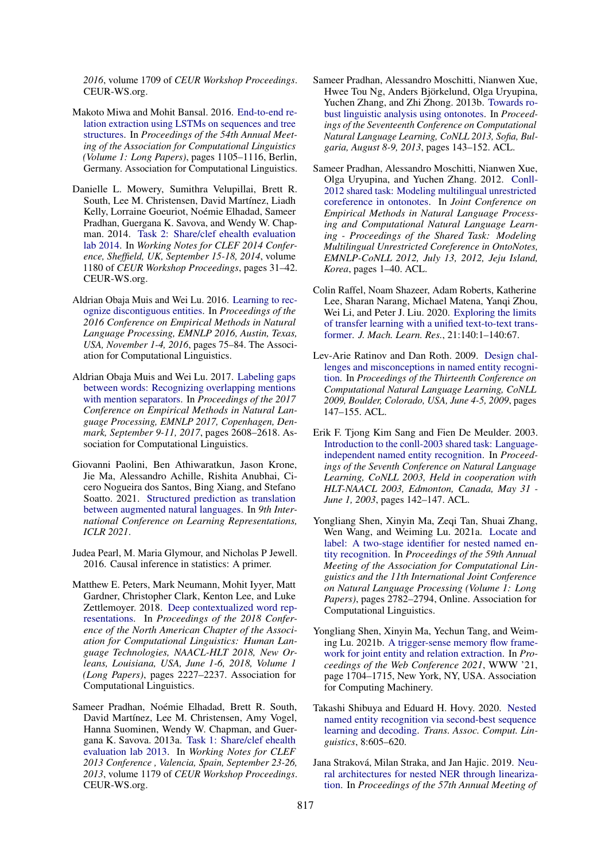*2016*, volume 1709 of *CEUR Workshop Proceedings*. CEUR-WS.org.

- <span id="page-9-0"></span>Makoto Miwa and Mohit Bansal. 2016. [End-to-end re](https://doi.org/10.18653/v1/P16-1105)[lation extraction using LSTMs on sequences and tree](https://doi.org/10.18653/v1/P16-1105) [structures.](https://doi.org/10.18653/v1/P16-1105) In *Proceedings of the 54th Annual Meeting of the Association for Computational Linguistics (Volume 1: Long Papers)*, pages 1105–1116, Berlin, Germany. Association for Computational Linguistics.
- <span id="page-9-12"></span>Danielle L. Mowery, Sumithra Velupillai, Brett R. South, Lee M. Christensen, David Martínez, Liadh Kelly, Lorraine Goeuriot, Noémie Elhadad, Sameer Pradhan, Guergana K. Savova, and Wendy W. Chapman. 2014. [Task 2: Share/clef ehealth evaluation](http://ceur-ws.org/Vol-1180/CLEF2014wn-eHealth-MoweryEt2014.pdf) [lab 2014.](http://ceur-ws.org/Vol-1180/CLEF2014wn-eHealth-MoweryEt2014.pdf) In *Working Notes for CLEF 2014 Conference, Sheffield, UK, September 15-18, 2014*, volume 1180 of *CEUR Workshop Proceedings*, pages 31–42. CEUR-WS.org.
- <span id="page-9-15"></span>Aldrian Obaja Muis and Wei Lu. 2016. [Learning to rec](https://doi.org/10.18653/v1/d16-1008)[ognize discontiguous entities.](https://doi.org/10.18653/v1/d16-1008) In *Proceedings of the 2016 Conference on Empirical Methods in Natural Language Processing, EMNLP 2016, Austin, Texas, USA, November 1-4, 2016*, pages 75–84. The Association for Computational Linguistics.
- <span id="page-9-10"></span>Aldrian Obaja Muis and Wei Lu. 2017. [Labeling gaps](https://doi.org/10.18653/v1/d17-1276) [between words: Recognizing overlapping mentions](https://doi.org/10.18653/v1/d17-1276) [with mention separators.](https://doi.org/10.18653/v1/d17-1276) In *Proceedings of the 2017 Conference on Empirical Methods in Natural Language Processing, EMNLP 2017, Copenhagen, Denmark, September 9-11, 2017*, pages 2608–2618. Association for Computational Linguistics.
- <span id="page-9-6"></span>Giovanni Paolini, Ben Athiwaratkun, Jason Krone, Jie Ma, Alessandro Achille, Rishita Anubhai, Cicero Nogueira dos Santos, Bing Xiang, and Stefano Soatto. 2021. [Structured prediction as translation](https://arxiv.org/abs/2101.05779) [between augmented natural languages.](https://arxiv.org/abs/2101.05779) In *9th International Conference on Learning Representations, ICLR 2021*.
- <span id="page-9-16"></span>Judea Pearl, M. Maria Glymour, and Nicholas P Jewell. 2016. Causal inference in statistics: A primer.
- <span id="page-9-14"></span>Matthew E. Peters, Mark Neumann, Mohit Iyyer, Matt Gardner, Christopher Clark, Kenton Lee, and Luke Zettlemoyer. 2018. [Deep contextualized word rep](https://doi.org/10.18653/v1/n18-1202)[resentations.](https://doi.org/10.18653/v1/n18-1202) In *Proceedings of the 2018 Conference of the North American Chapter of the Association for Computational Linguistics: Human Language Technologies, NAACL-HLT 2018, New Orleans, Louisiana, USA, June 1-6, 2018, Volume 1 (Long Papers)*, pages 2227–2237. Association for Computational Linguistics.
- <span id="page-9-3"></span>Sameer Pradhan, Noémie Elhadad, Brett R. South, David Martínez, Lee M. Christensen, Amy Vogel, Hanna Suominen, Wendy W. Chapman, and Guergana K. Savova. 2013a. [Task 1: Share/clef ehealth](http://ceur-ws.org/Vol-1179/CLEF2013wn-CLEFeHealth-PradhanEt2013.pdf) [evaluation lab 2013.](http://ceur-ws.org/Vol-1179/CLEF2013wn-CLEFeHealth-PradhanEt2013.pdf) In *Working Notes for CLEF 2013 Conference , Valencia, Spain, September 23-26, 2013*, volume 1179 of *CEUR Workshop Proceedings*. CEUR-WS.org.
- <span id="page-9-8"></span>Sameer Pradhan, Alessandro Moschitti, Nianwen Xue, Hwee Tou Ng, Anders Björkelund, Olga Uryupina, Yuchen Zhang, and Zhi Zhong. 2013b. [Towards ro](https://aclanthology.org/W13-3516/)[bust linguistic analysis using ontonotes.](https://aclanthology.org/W13-3516/) In *Proceedings of the Seventeenth Conference on Computational Natural Language Learning, CoNLL 2013, Sofia, Bulgaria, August 8-9, 2013*, pages 143–152. ACL.
- <span id="page-9-9"></span>Sameer Pradhan, Alessandro Moschitti, Nianwen Xue, Olga Uryupina, and Yuchen Zhang. 2012. [Conll-](https://aclanthology.org/W12-4501/)[2012 shared task: Modeling multilingual unrestricted](https://aclanthology.org/W12-4501/) [coreference in ontonotes.](https://aclanthology.org/W12-4501/) In *Joint Conference on Empirical Methods in Natural Language Processing and Computational Natural Language Learning - Proceedings of the Shared Task: Modeling Multilingual Unrestricted Coreference in OntoNotes, EMNLP-CoNLL 2012, July 13, 2012, Jeju Island, Korea*, pages 1–40. ACL.
- <span id="page-9-13"></span>Colin Raffel, Noam Shazeer, Adam Roberts, Katherine Lee, Sharan Narang, Michael Matena, Yangi Zhou, Wei Li, and Peter J. Liu. 2020. [Exploring the limits](http://jmlr.org/papers/v21/20-074.html) [of transfer learning with a unified text-to-text trans](http://jmlr.org/papers/v21/20-074.html)[former.](http://jmlr.org/papers/v21/20-074.html) *J. Mach. Learn. Res.*, 21:140:1–140:67.
- <span id="page-9-7"></span>Lev-Arie Ratinov and Dan Roth. 2009. [Design chal](https://aclanthology.org/W09-1119/)[lenges and misconceptions in named entity recogni](https://aclanthology.org/W09-1119/)[tion.](https://aclanthology.org/W09-1119/) In *Proceedings of the Thirteenth Conference on Computational Natural Language Learning, CoNLL 2009, Boulder, Colorado, USA, June 4-5, 2009*, pages 147–155. ACL.
- <span id="page-9-2"></span>Erik F. Tjong Kim Sang and Fien De Meulder. 2003. [Introduction to the conll-2003 shared task: Language](https://aclanthology.org/W03-0419/)[independent named entity recognition.](https://aclanthology.org/W03-0419/) In *Proceedings of the Seventh Conference on Natural Language Learning, CoNLL 2003, Held in cooperation with HLT-NAACL 2003, Edmonton, Canada, May 31 - June 1, 2003*, pages 142–147. ACL.
- <span id="page-9-5"></span>Yongliang Shen, Xinyin Ma, Zeqi Tan, Shuai Zhang, Wen Wang, and Weiming Lu. 2021a. [Locate and](https://doi.org/10.18653/v1/2021.acl-long.216) [label: A two-stage identifier for nested named en](https://doi.org/10.18653/v1/2021.acl-long.216)[tity recognition.](https://doi.org/10.18653/v1/2021.acl-long.216) In *Proceedings of the 59th Annual Meeting of the Association for Computational Linguistics and the 11th International Joint Conference on Natural Language Processing (Volume 1: Long Papers)*, pages 2782–2794, Online. Association for Computational Linguistics.
- <span id="page-9-1"></span>Yongliang Shen, Xinyin Ma, Yechun Tang, and Weiming Lu. 2021b. [A trigger-sense memory flow frame](https://doi.org/10.1145/3442381.3449895)[work for joint entity and relation extraction.](https://doi.org/10.1145/3442381.3449895) In *Proceedings of the Web Conference 2021*, WWW '21, page 1704–1715, New York, NY, USA. Association for Computing Machinery.
- <span id="page-9-11"></span>Takashi Shibuya and Eduard H. Hovy. 2020. [Nested](https://transacl.org/ojs/index.php/tacl/article/view/2103) [named entity recognition via second-best sequence](https://transacl.org/ojs/index.php/tacl/article/view/2103) [learning and decoding.](https://transacl.org/ojs/index.php/tacl/article/view/2103) *Trans. Assoc. Comput. Linguistics*, 8:605–620.
- <span id="page-9-4"></span>Jana Straková, Milan Straka, and Jan Hajic. 2019. [Neu](https://doi.org/10.18653/v1/P19-1527)[ral architectures for nested NER through lineariza](https://doi.org/10.18653/v1/P19-1527)[tion.](https://doi.org/10.18653/v1/P19-1527) In *Proceedings of the 57th Annual Meeting of*